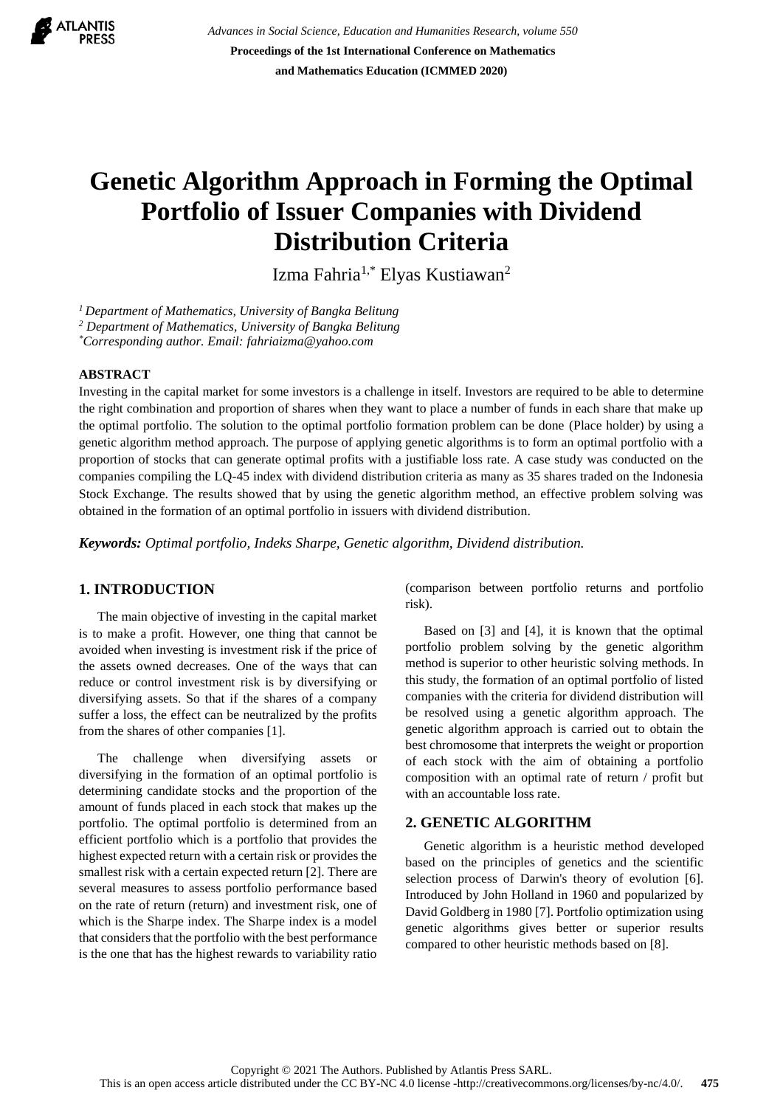

*Advances in Social Science, Education and Humanities Research, volume 550* **Proceedings of the 1st International Conference on Mathematics and Mathematics Education (ICMMED 2020)**

# **Genetic Algorithm Approach in Forming the Optimal Portfolio of Issuer Companies with Dividend Distribution Criteria**

Izma Fahria<sup>1,\*</sup> Elyas Kustiawan<sup>2</sup>

*<sup>1</sup>Department of Mathematics, University of Bangka Belitung* 

*2 Department of Mathematics, University of Bangka Belitung* 

*\*Corresponding author. Email: fahriaizma@yahoo.com*

## **ABSTRACT**

Investing in the capital market for some investors is a challenge in itself. Investors are required to be able to determine the right combination and proportion of shares when they want to place a number of funds in each share that make up the optimal portfolio. The solution to the optimal portfolio formation problem can be done (Place holder) by using a genetic algorithm method approach. The purpose of applying genetic algorithms is to form an optimal portfolio with a proportion of stocks that can generate optimal profits with a justifiable loss rate. A case study was conducted on the companies compiling the LQ-45 index with dividend distribution criteria as many as 35 shares traded on the Indonesia Stock Exchange. The results showed that by using the genetic algorithm method, an effective problem solving was obtained in the formation of an optimal portfolio in issuers with dividend distribution.

*Keywords: Optimal portfolio, Indeks Sharpe, Genetic algorithm, Dividend distribution.* 

## **1. INTRODUCTION**

The main objective of investing in the capital market is to make a profit. However, one thing that cannot be avoided when investing is investment risk if the price of the assets owned decreases. One of the ways that can reduce or control investment risk is by diversifying or diversifying assets. So that if the shares of a company suffer a loss, the effect can be neutralized by the profits from the shares of other companies [1].

The challenge when diversifying assets or diversifying in the formation of an optimal portfolio is determining candidate stocks and the proportion of the amount of funds placed in each stock that makes up the portfolio. The optimal portfolio is determined from an efficient portfolio which is a portfolio that provides the highest expected return with a certain risk or provides the smallest risk with a certain expected return [2]. There are several measures to assess portfolio performance based on the rate of return (return) and investment risk, one of which is the Sharpe index. The Sharpe index is a model that considers that the portfolio with the best performance is the one that has the highest rewards to variability ratio (comparison between portfolio returns and portfolio risk).

Based on [3] and [4], it is known that the optimal portfolio problem solving by the genetic algorithm method is superior to other heuristic solving methods. In this study, the formation of an optimal portfolio of listed companies with the criteria for dividend distribution will be resolved using a genetic algorithm approach. The genetic algorithm approach is carried out to obtain the best chromosome that interprets the weight or proportion of each stock with the aim of obtaining a portfolio composition with an optimal rate of return / profit but with an accountable loss rate.

#### **2. GENETIC ALGORITHM**

Genetic algorithm is a heuristic method developed based on the principles of genetics and the scientific selection process of Darwin's theory of evolution [6]. Introduced by John Holland in 1960 and popularized by David Goldberg in 1980 [7]. Portfolio optimization using genetic algorithms gives better or superior results compared to other heuristic methods based on [8].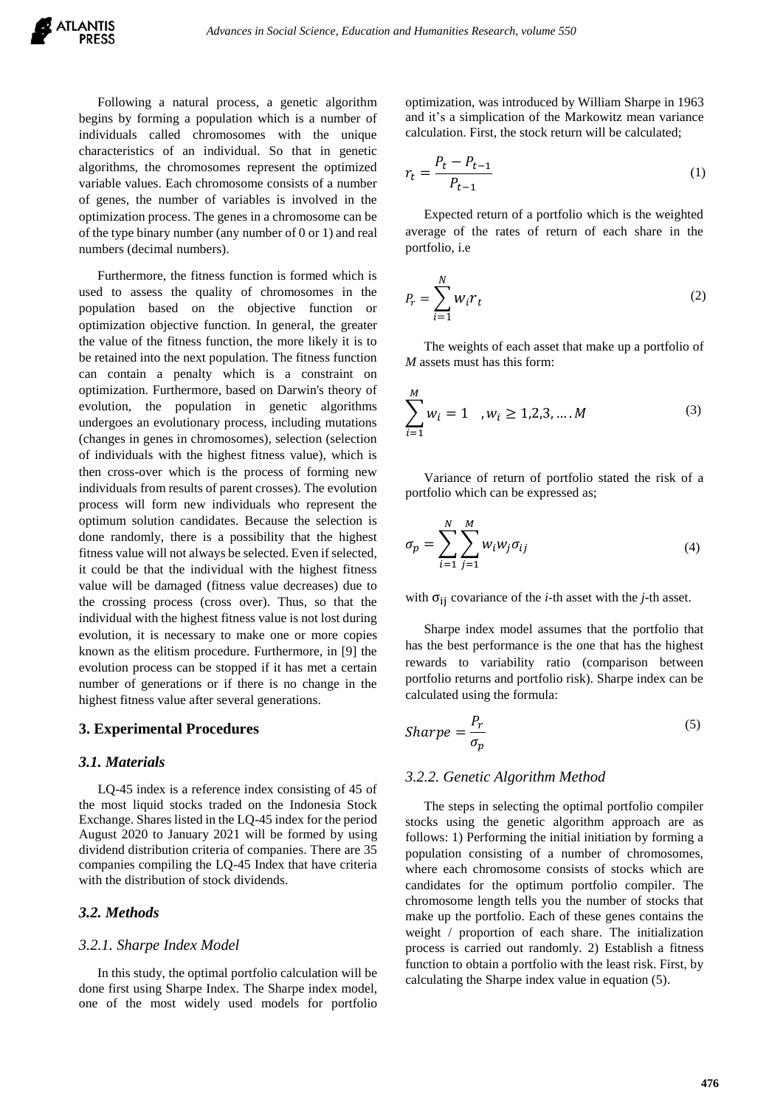Following a natural process, a genetic algorithm begins by forming a population which is a number of individuals called chromosomes with the unique characteristics of an individual. So that in genetic algorithms, the chromosomes represent the optimized variable values. Each chromosome consists of a number of genes, the number of variables is involved in the optimization process. The genes in a chromosome can be of the type binary number (any number of 0 or 1) and real numbers (decimal numbers).

Furthermore, the fitness function is formed which is used to assess the quality of chromosomes in the population based on the objective function or optimization objective function. In general, the greater the value of the fitness function, the more likely it is to be retained into the next population. The fitness function can contain a penalty which is a constraint on optimization. Furthermore, based on Darwin's theory of evolution, the population in genetic algorithms undergoes an evolutionary process, including mutations (changes in genes in chromosomes), selection (selection of individuals with the highest fitness value), which is then cross-over which is the process of forming new individuals from results of parent crosses). The evolution process will form new individuals who represent the optimum solution candidates. Because the selection is done randomly, there is a possibility that the highest fitness value will not always be selected. Even if selected, it could be that the individual with the highest fitness value will be damaged (fitness value decreases) due to the crossing process (cross over). Thus, so that the individual with the highest fitness value is not lost during evolution, it is necessary to make one or more copies known as the elitism procedure. Furthermore, in [9] the evolution process can be stopped if it has met a certain number of generations or if there is no change in the highest fitness value after several generations.

#### **3. Experimental Procedures**

#### *3.1. Materials*

LQ-45 index is a reference index consisting of 45 of the most liquid stocks traded on the Indonesia Stock Exchange. Shares listed in the LQ-45 index for the period August 2020 to January 2021 will be formed by using dividend distribution criteria of companies. There are 35 companies compiling the LQ-45 Index that have criteria with the distribution of stock dividends.

## *3.2. Methods*

#### *3.2.1. Sharpe Index Model*

In this study, the optimal portfolio calculation will be done first using Sharpe Index. The Sharpe index model, one of the most widely used models for portfolio optimization, was introduced by William Sharpe in 1963 and it's a simplication of the Markowitz mean variance calculation. First, the stock return will be calculated;

$$
r_t = \frac{P_t - P_{t-1}}{P_{t-1}}
$$
 (1)

Expected return of a portfolio which is the weighted average of the rates of return of each share in the portfolio, i.e

$$
P_r = \sum_{i=1}^{N} w_i r_t \tag{2}
$$

The weights of each asset that make up a portfolio of *M* assets must has this form:

$$
\sum_{i=1}^{M} w_i = 1 \quad , w_i \ge 1, 2, 3, \dots . M \tag{3}
$$

Variance of return of portfolio stated the risk of a portfolio which can be expressed as;

$$
\sigma_p = \sum_{i=1}^{N} \sum_{j=1}^{M} w_i w_j \sigma_{ij} \tag{4}
$$

with  $\sigma_{ii}$  covariance of the *i*-th asset with the *j*-th asset.

Sharpe index model assumes that the portfolio that has the best performance is the one that has the highest rewards to variability ratio (comparison between portfolio returns and portfolio risk). Sharpe index can be calculated using the formula:

$$
Sharpe = \frac{P_r}{\sigma_p} \tag{5}
$$

#### *3.2.2. Genetic Algorithm Method*

The steps in selecting the optimal portfolio compiler stocks using the genetic algorithm approach are as follows: 1) Performing the initial initiation by forming a population consisting of a number of chromosomes, where each chromosome consists of stocks which are candidates for the optimum portfolio compiler. The chromosome length tells you the number of stocks that make up the portfolio. Each of these genes contains the weight / proportion of each share. The initialization process is carried out randomly. 2) Establish a fitness function to obtain a portfolio with the least risk. First, by calculating the Sharpe index value in equation (5).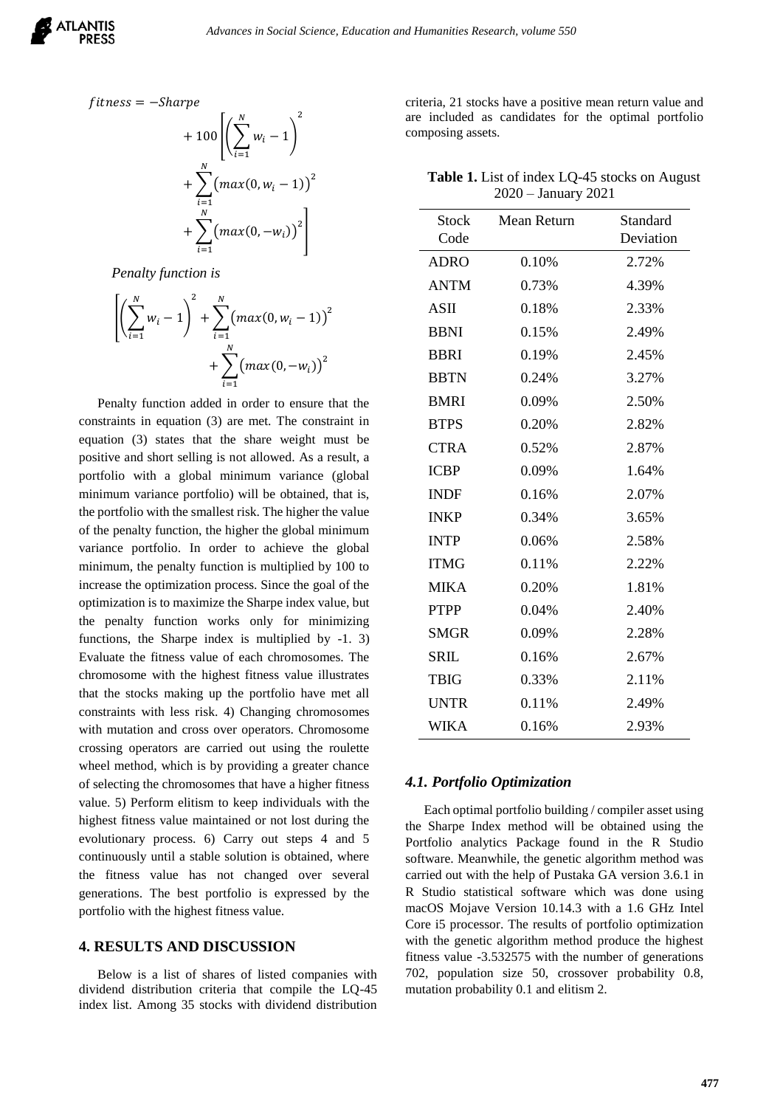

$$
fitness = -Share
$$
  
+ 100 
$$
\left( \sum_{i=1}^{N} w_i - 1 \right)^2
$$
  
+ 
$$
\sum_{i=1}^{N} (max(0, w_i - 1))^2
$$
  
+ 
$$
\sum_{i=1}^{N} (max(0, -w_i))^2 \right)
$$

*Penalty function is*

$$
\left[ \left( \sum_{i=1}^{N} w_i - 1 \right)^2 + \sum_{i=1}^{N} \left( \max(0, w_i - 1) \right)^2 + \sum_{i=1}^{N} \left( \max(0, -w_i) \right)^2 \right]
$$

Penalty function added in order to ensure that the constraints in equation (3) are met. The constraint in equation (3) states that the share weight must be positive and short selling is not allowed. As a result, a portfolio with a global minimum variance (global minimum variance portfolio) will be obtained, that is, the portfolio with the smallest risk. The higher the value of the penalty function, the higher the global minimum variance portfolio. In order to achieve the global minimum, the penalty function is multiplied by 100 to increase the optimization process. Since the goal of the optimization is to maximize the Sharpe index value, but the penalty function works only for minimizing functions, the Sharpe index is multiplied by -1. 3) Evaluate the fitness value of each chromosomes. The chromosome with the highest fitness value illustrates that the stocks making up the portfolio have met all constraints with less risk. 4) Changing chromosomes with mutation and cross over operators. Chromosome crossing operators are carried out using the roulette wheel method, which is by providing a greater chance of selecting the chromosomes that have a higher fitness value. 5) Perform elitism to keep individuals with the highest fitness value maintained or not lost during the evolutionary process. 6) Carry out steps 4 and 5 continuously until a stable solution is obtained, where the fitness value has not changed over several generations. The best portfolio is expressed by the portfolio with the highest fitness value.

## **4. RESULTS AND DISCUSSION**

Below is a list of shares of listed companies with dividend distribution criteria that compile the LQ-45 index list. Among 35 stocks with dividend distribution criteria, 21 stocks have a positive mean return value and are included as candidates for the optimal portfolio composing assets.

**Table 1.** List of index LQ-45 stocks on August 2020 – January 2021

| Stock       | Mean Return | Standard  |
|-------------|-------------|-----------|
| Code        |             | Deviation |
| <b>ADRO</b> | 0.10%       | 2.72%     |
| <b>ANTM</b> | 0.73%       | 4.39%     |
| ASII        | 0.18%       | 2.33%     |
| <b>BBNI</b> | 0.15%       | 2.49%     |
| <b>BBRI</b> | 0.19%       | 2.45%     |
| <b>BBTN</b> | 0.24%       | 3.27%     |
| <b>BMRI</b> | 0.09%       | 2.50%     |
| <b>BTPS</b> | 0.20%       | 2.82%     |
| <b>CTRA</b> | 0.52%       | 2.87%     |
| <b>ICBP</b> | 0.09%       | 1.64%     |
| <b>INDF</b> | 0.16%       | 2.07%     |
| <b>INKP</b> | 0.34%       | 3.65%     |
| <b>INTP</b> | 0.06%       | 2.58%     |
| <b>ITMG</b> | 0.11%       | 2.22%     |
| <b>MIKA</b> | 0.20%       | 1.81%     |
| <b>PTPP</b> | 0.04%       | 2.40%     |
| <b>SMGR</b> | 0.09%       | 2.28%     |
| <b>SRIL</b> | 0.16%       | 2.67%     |
| <b>TBIG</b> | 0.33%       | 2.11%     |
| <b>UNTR</b> | $0.11\%$    | 2.49%     |
| WIKA        | 0.16%       | 2.93%     |

### *4.1. Portfolio Optimization*

Each optimal portfolio building / compiler asset using the Sharpe Index method will be obtained using the Portfolio analytics Package found in the R Studio software. Meanwhile, the genetic algorithm method was carried out with the help of Pustaka GA version 3.6.1 in R Studio statistical software which was done using macOS Mojave Version 10.14.3 with a 1.6 GHz Intel Core i5 processor. The results of portfolio optimization with the genetic algorithm method produce the highest fitness value -3.532575 with the number of generations 702, population size 50, crossover probability 0.8, mutation probability 0.1 and elitism 2.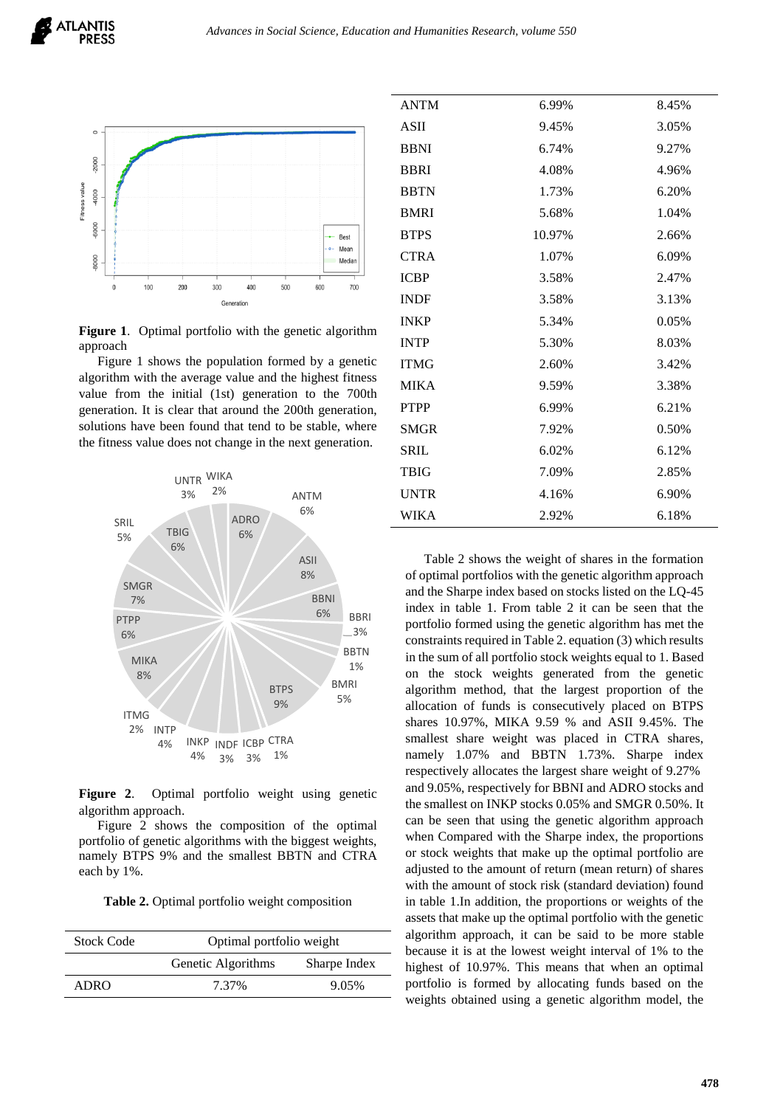

Figure 1. Optimal portfolio with the genetic algorithm approach

Figure 1 shows the population formed by a genetic algorithm with the average value and the highest fitness value from the initial (1st) generation to the 700th generation. It is clear that around the 200th generation, solutions have been found that tend to be stable, where the fitness value does not change in the next generation.



**Figure 2**. Optimal portfolio weight using genetic algorithm approach.

Figure 2 shows the composition of the optimal portfolio of genetic algorithms with the biggest weights, namely BTPS 9% and the smallest BBTN and CTRA each by 1%.

**Table 2.** Optimal portfolio weight composition

| <b>Stock Code</b> | Optimal portfolio weight |              |
|-------------------|--------------------------|--------------|
|                   | Genetic Algorithms       | Sharpe Index |
| ADRO              | 7.37%                    | 9.05%        |
|                   |                          |              |

| <b>ANTM</b> | 6.99%  | 8.45% |
|-------------|--------|-------|
| <b>ASII</b> | 9.45%  | 3.05% |
| <b>BBNI</b> | 6.74%  | 9.27% |
| <b>BBRI</b> | 4.08%  | 4.96% |
| <b>BBTN</b> | 1.73%  | 6.20% |
| <b>BMRI</b> | 5.68%  | 1.04% |
| <b>BTPS</b> | 10.97% | 2.66% |
| <b>CTRA</b> | 1.07%  | 6.09% |
| <b>ICBP</b> | 3.58%  | 2.47% |
| <b>INDF</b> | 3.58%  | 3.13% |
| <b>INKP</b> | 5.34%  | 0.05% |
| <b>INTP</b> | 5.30%  | 8.03% |
| <b>ITMG</b> | 2.60%  | 3.42% |
| <b>MIKA</b> | 9.59%  | 3.38% |
| <b>PTPP</b> | 6.99%  | 6.21% |
| <b>SMGR</b> | 7.92%  | 0.50% |
| <b>SRIL</b> | 6.02%  | 6.12% |
| <b>TBIG</b> | 7.09%  | 2.85% |
| <b>UNTR</b> | 4.16%  | 6.90% |
| WIKA        | 2.92%  | 6.18% |

Table 2 shows the weight of shares in the formation of optimal portfolios with the genetic algorithm approach and the Sharpe index based on stocks listed on the LQ-45 index in table 1. From table 2 it can be seen that the portfolio formed using the genetic algorithm has met the constraints required in Table 2. equation (3) which results in the sum of all portfolio stock weights equal to 1. Based on the stock weights generated from the genetic algorithm method, that the largest proportion of the allocation of funds is consecutively placed on BTPS shares 10.97%, MIKA 9.59 % and ASII 9.45%. The smallest share weight was placed in CTRA shares, namely 1.07% and BBTN 1.73%. Sharpe index respectively allocates the largest share weight of 9.27% and 9.05%, respectively for BBNI and ADRO stocks and the smallest on INKP stocks 0.05% and SMGR 0.50%. It can be seen that using the genetic algorithm approach when Compared with the Sharpe index, the proportions or stock weights that make up the optimal portfolio are adjusted to the amount of return (mean return) of shares with the amount of stock risk (standard deviation) found in table 1.In addition, the proportions or weights of the assets that make up the optimal portfolio with the genetic algorithm approach, it can be said to be more stable because it is at the lowest weight interval of 1% to the highest of 10.97%. This means that when an optimal portfolio is formed by allocating funds based on the weights obtained using a genetic algorithm model, the